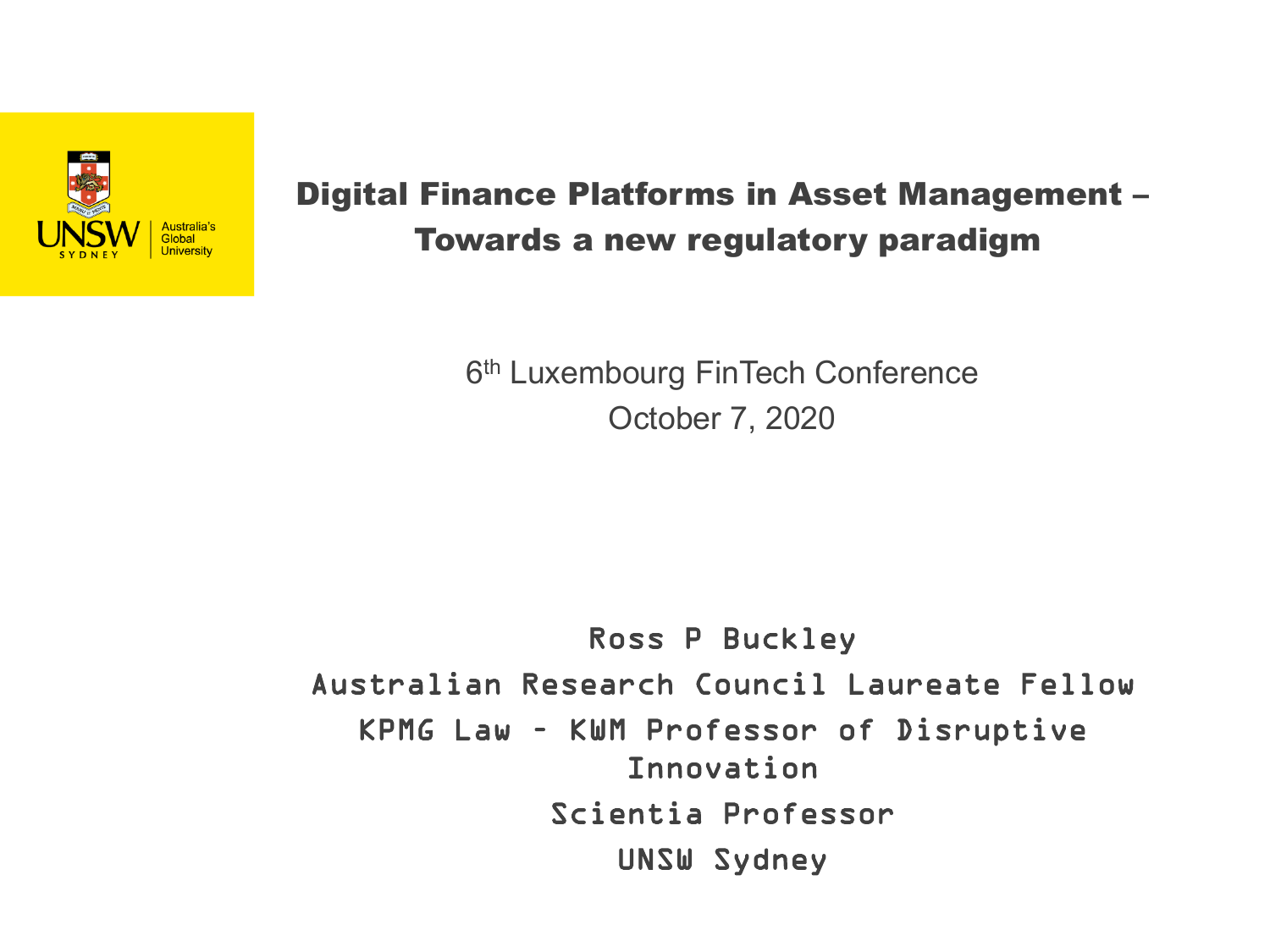

#### Digital Finance Platforms in Asset Management – Towards a new regulatory paradigm

6<sup>th</sup> Luxembourg FinTech Conference October 7, 2020

#### Ross P Buckley Australian Research Council Laureate Fellow KPMG Law – KWM Professor of Disruptive Innovation Scientia Professor UNSW Sydney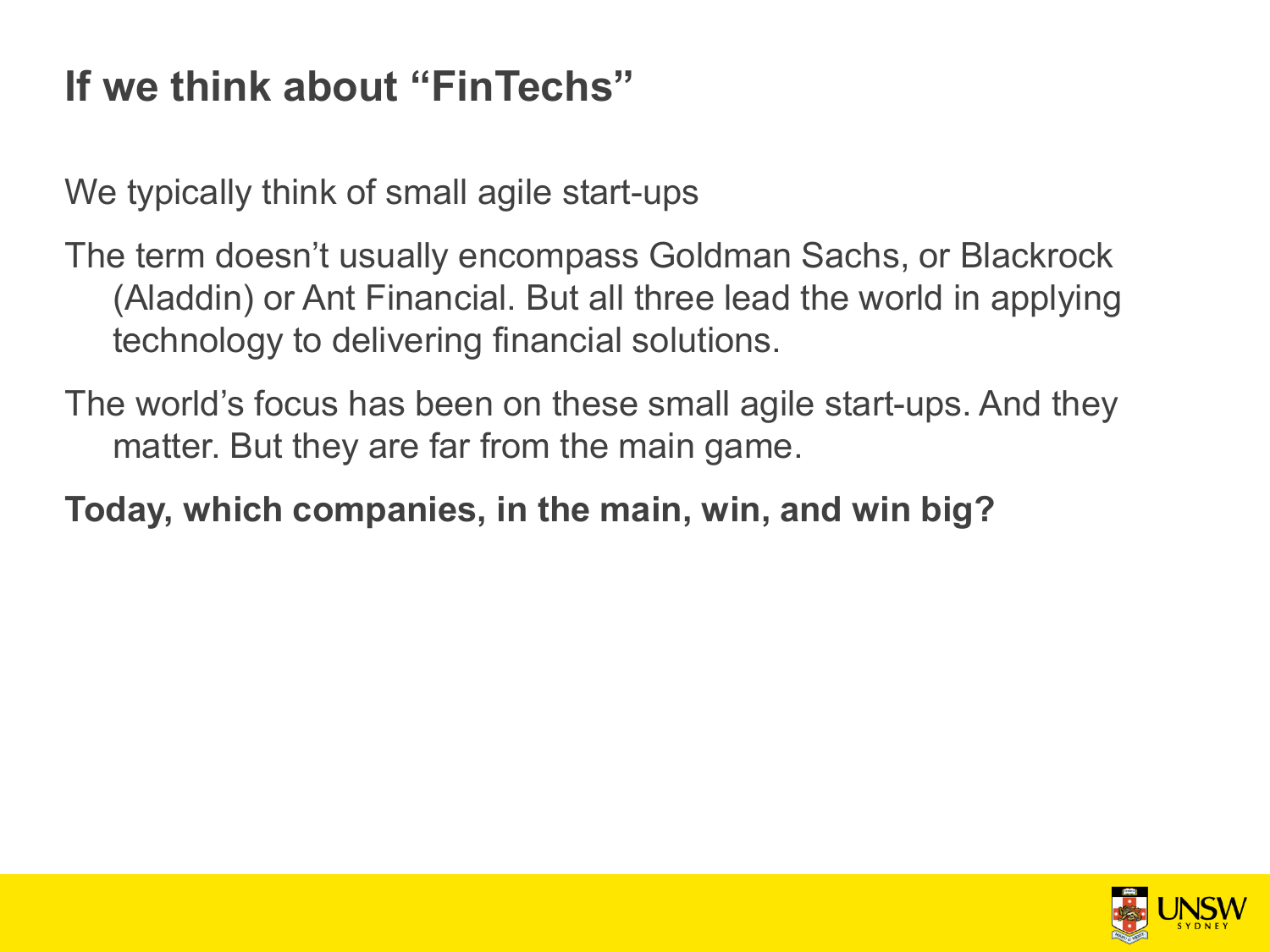# **If we think about "FinTechs"**

We typically think of small agile start-ups

The term doesn't usually encompass Goldman Sachs, or Blackrock (Aladdin) or Ant Financial. But all three lead the world in applying technology to delivering financial solutions.

The world's focus has been on these small agile start-ups. And they matter. But they are far from the main game.

**Today, which companies, in the main, win, and win big?** 

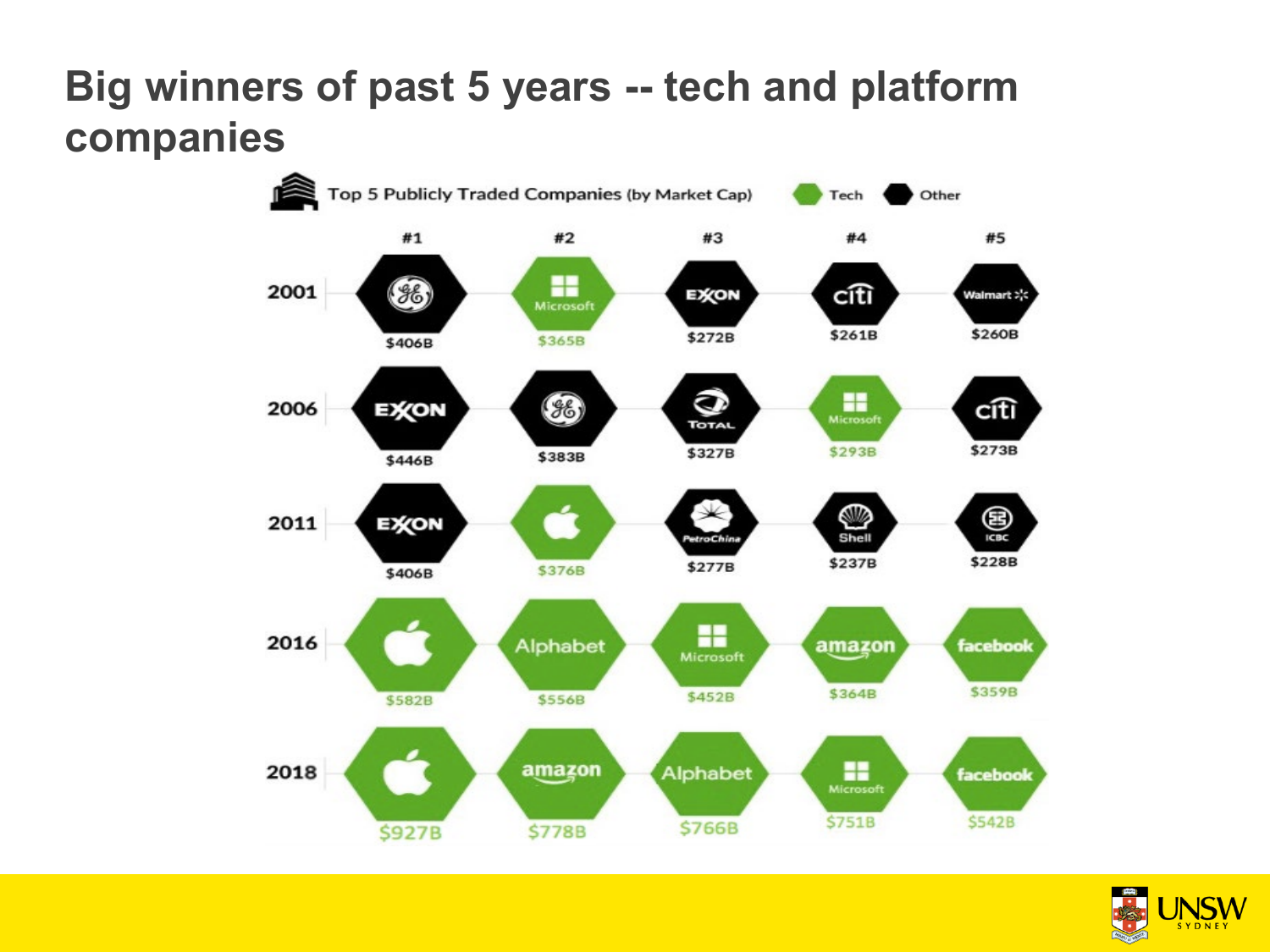### **Big winners of past 5 years -- tech and platform companies**



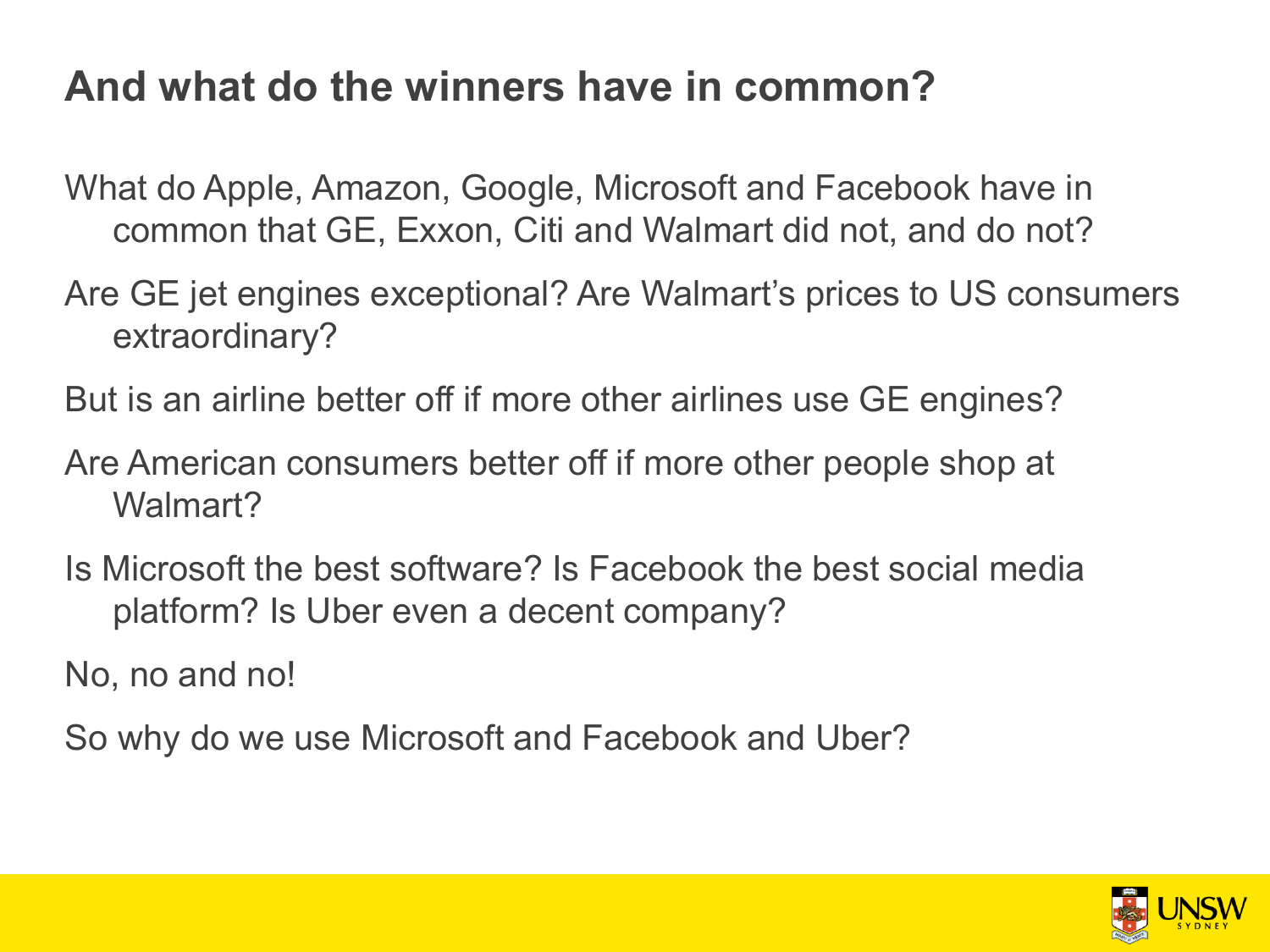### **And what do the winners have in common?**

What do Apple, Amazon, Google, Microsoft and Facebook have in common that GE, Exxon, Citi and Walmart did not, and do not?

Are GE jet engines exceptional? Are Walmart's prices to US consumers extraordinary?

But is an airline better off if more other airlines use GE engines?

Are American consumers better off if more other people shop at Walmart?

Is Microsoft the best software? Is Facebook the best social media platform? Is Uber even a decent company?

No, no and no!

So why do we use Microsoft and Facebook and Uber?

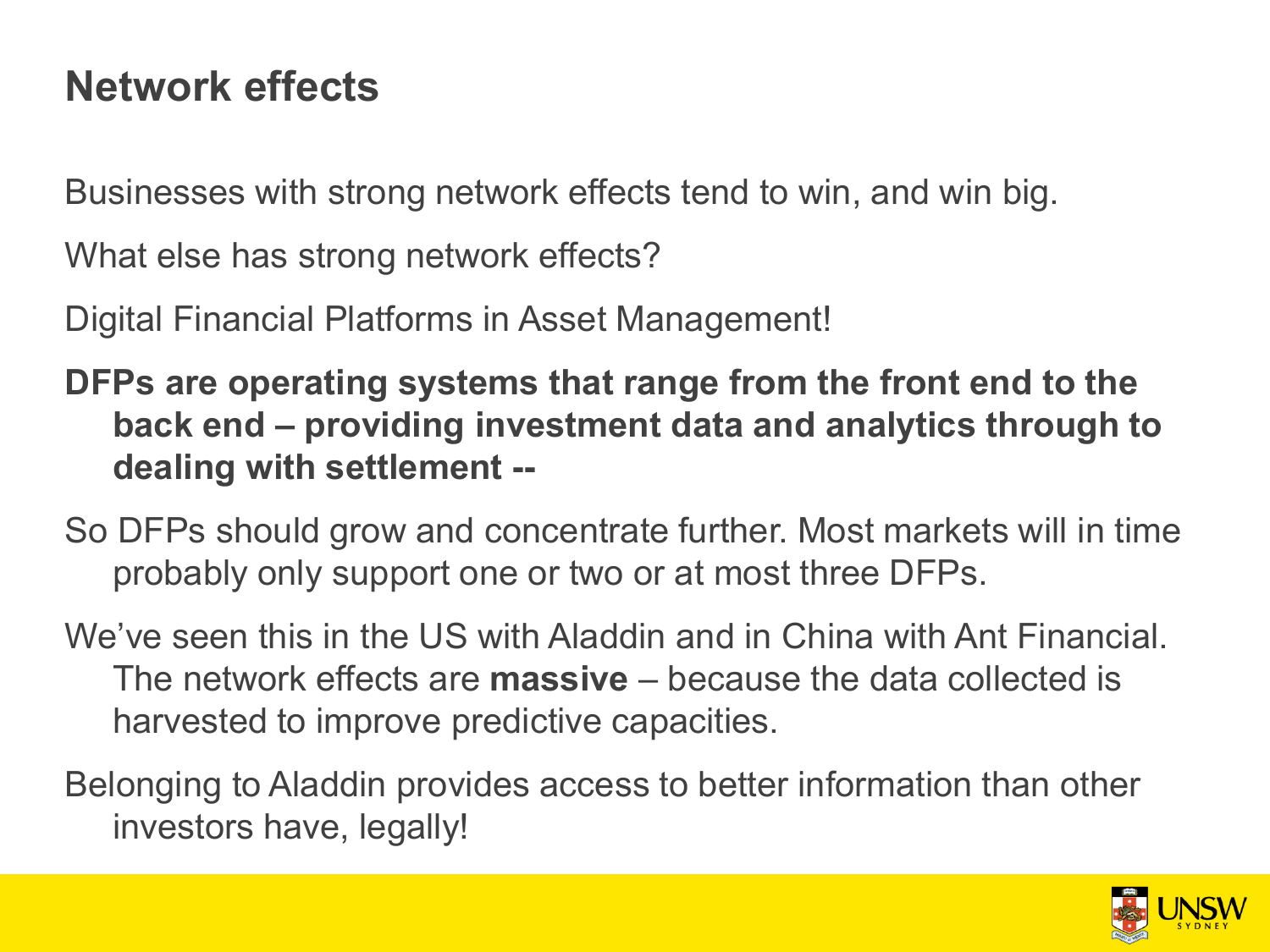### **Network effects**

Businesses with strong network effects tend to win, and win big.

What else has strong network effects?

Digital Financial Platforms in Asset Management!

- **DFPs are operating systems that range from the front end to the back end – providing investment data and analytics through to dealing with settlement --**
- So DFPs should grow and concentrate further. Most markets will in time probably only support one or two or at most three DFPs.
- We've seen this in the US with Aladdin and in China with Ant Financial. The network effects are **massive** – because the data collected is harvested to improve predictive capacities.
- Belonging to Aladdin provides access to better information than other investors have, legally!

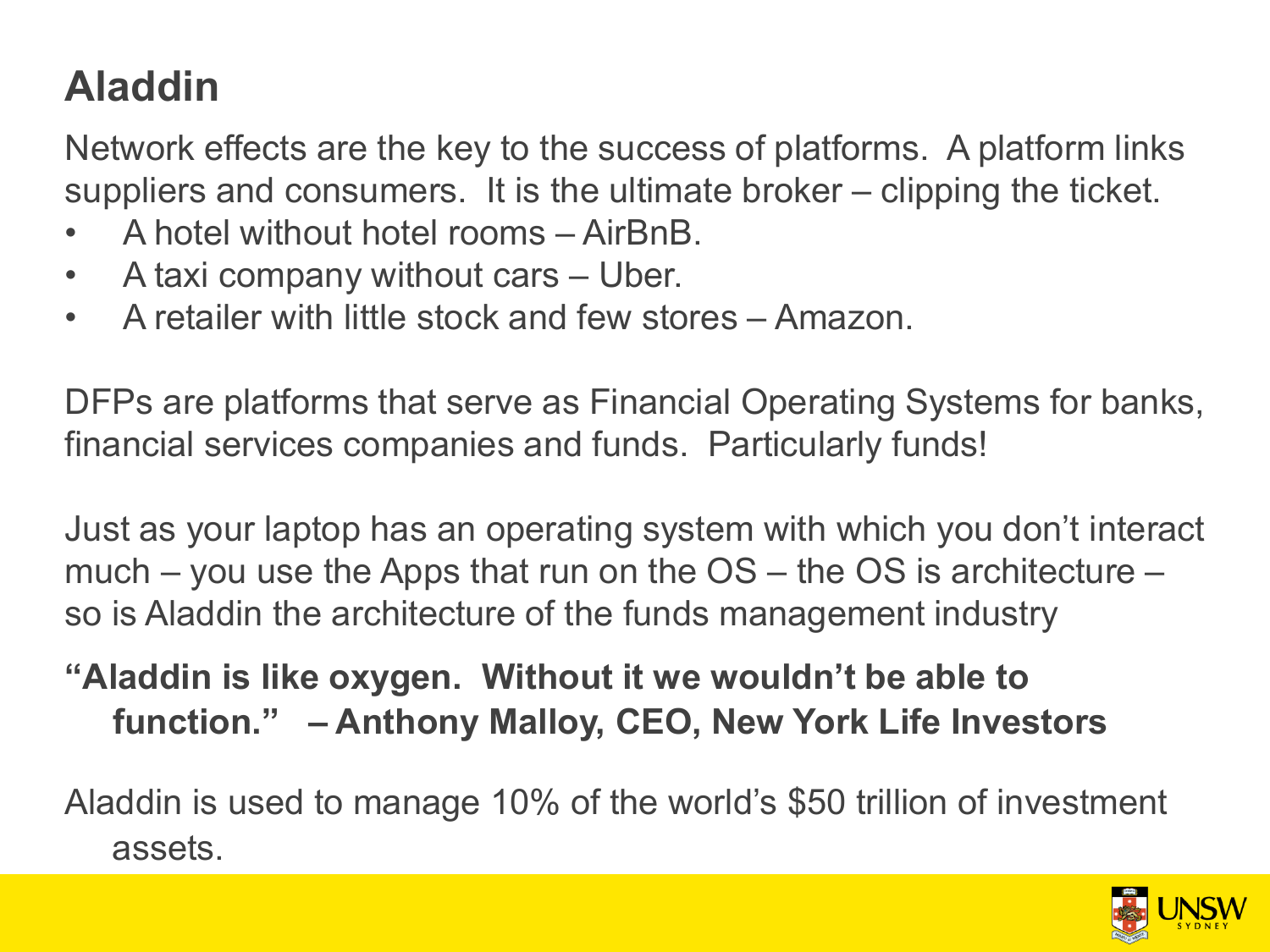# **Aladdin**

Network effects are the key to the success of platforms. A platform links suppliers and consumers. It is the ultimate broker – clipping the ticket.

- A hotel without hotel rooms AirBnB.
- A taxi company without cars Uber.
- A retailer with little stock and few stores Amazon.

DFPs are platforms that serve as Financial Operating Systems for banks, financial services companies and funds. Particularly funds!

Just as your laptop has an operating system with which you don't interact much – you use the Apps that run on the  $OS$  – the  $OS$  is architecture – so is Aladdin the architecture of the funds management industry

### **"Aladdin is like oxygen. Without it we wouldn't be able to function." – Anthony Malloy, CEO, New York Life Investors**

Aladdin is used to manage 10% of the world's \$50 trillion of investment assets.

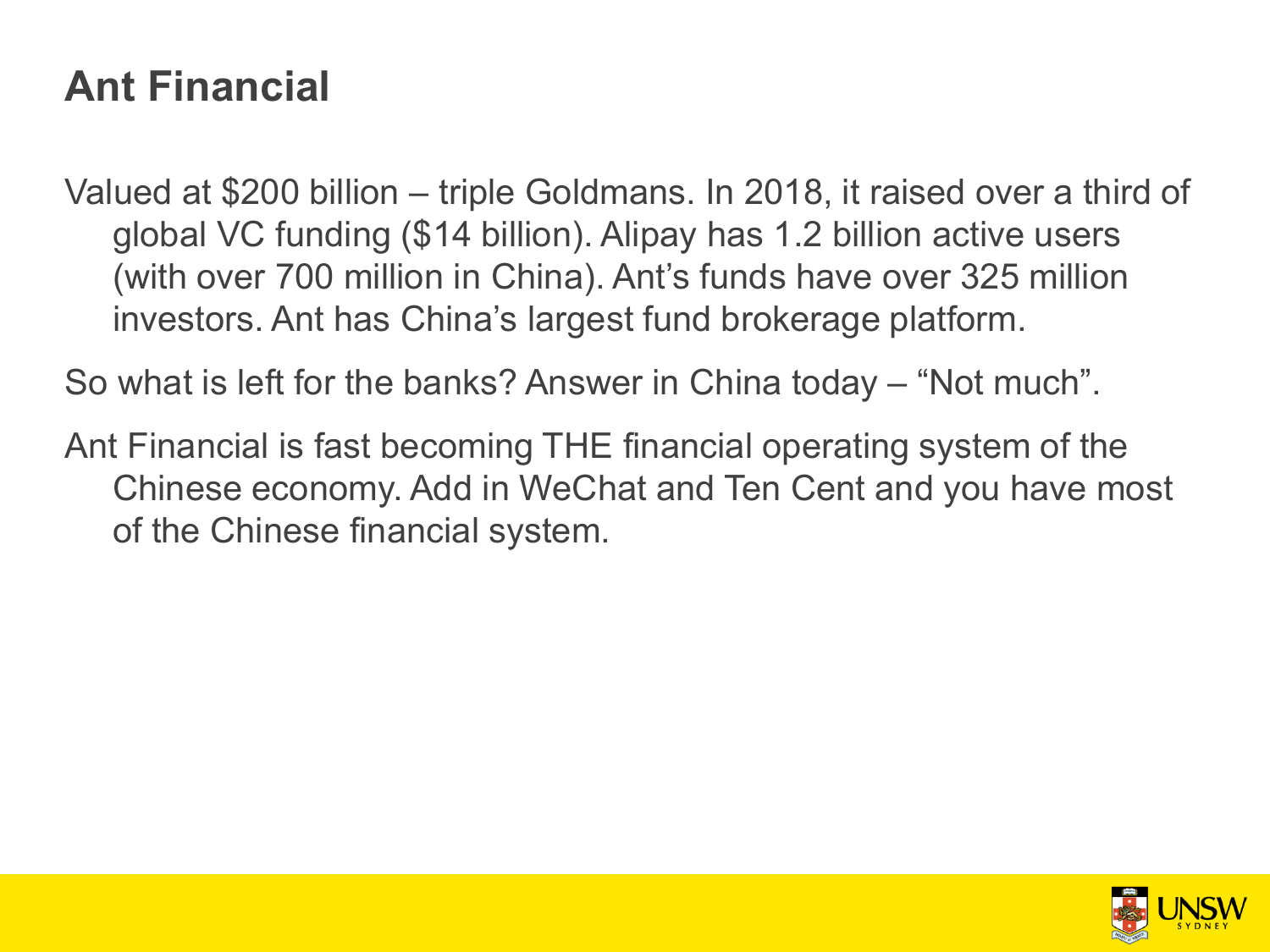### **Ant Financial**

Valued at \$200 billion – triple Goldmans. In 2018, it raised over a third of global VC funding (\$14 billion). Alipay has 1.2 billion active users (with over 700 million in China). Ant's funds have over 325 million investors. Ant has China's largest fund brokerage platform.

So what is left for the banks? Answer in China today – "Not much".

Ant Financial is fast becoming THE financial operating system of the Chinese economy. Add in WeChat and Ten Cent and you have most of the Chinese financial system.

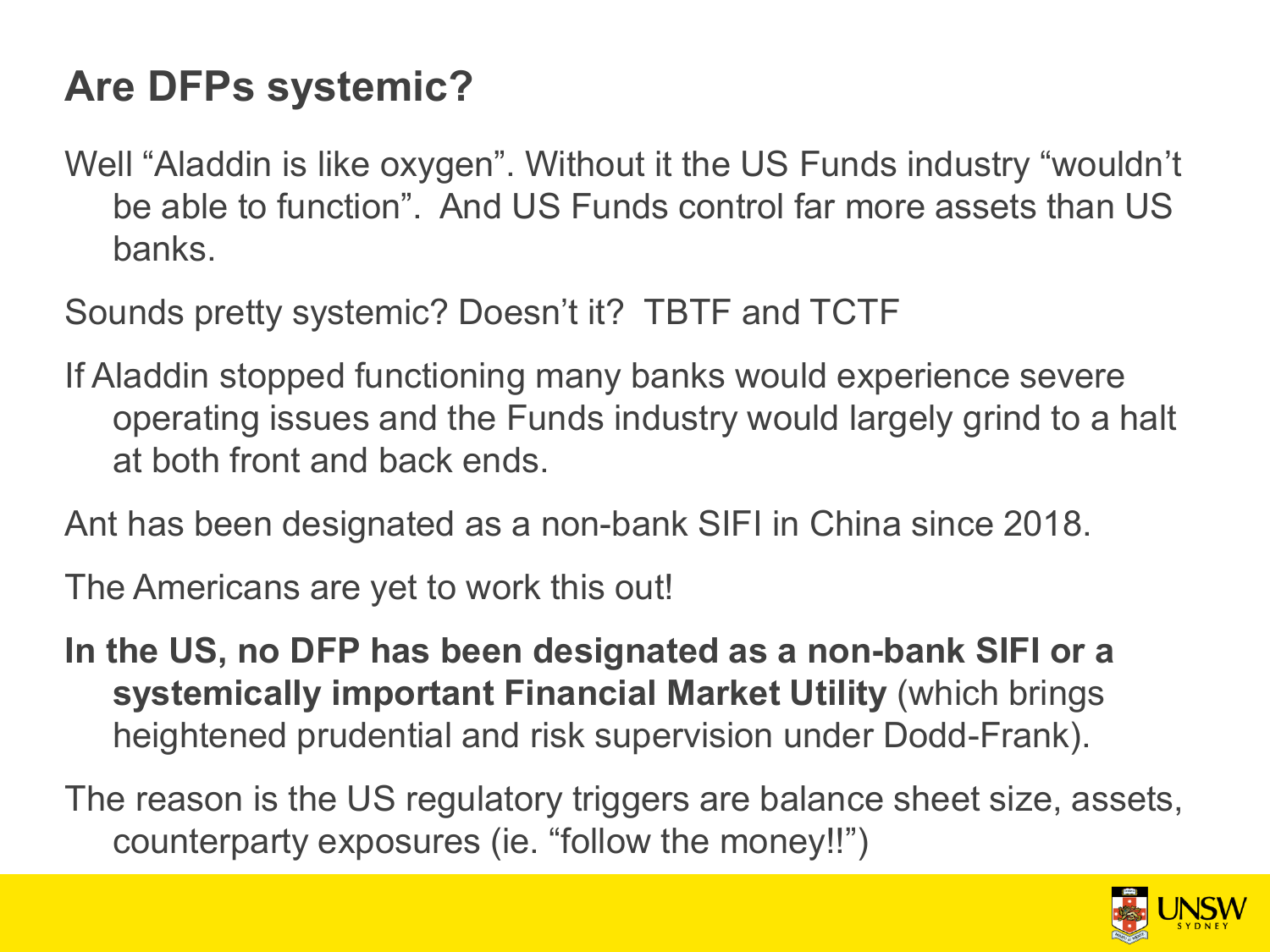# **Are DFPs systemic?**

Well "Aladdin is like oxygen". Without it the US Funds industry "wouldn't be able to function". And US Funds control far more assets than US banks.

Sounds pretty systemic? Doesn't it? TBTF and TCTF

- If Aladdin stopped functioning many banks would experience severe operating issues and the Funds industry would largely grind to a halt at both front and back ends.
- Ant has been designated as a non-bank SIFI in China since 2018.

The Americans are yet to work this out!

**In the US, no DFP has been designated as a non-bank SIFI or a systemically important Financial Market Utility** (which brings heightened prudential and risk supervision under Dodd-Frank).

The reason is the US regulatory triggers are balance sheet size, assets, counterparty exposures (ie. "follow the money!!")

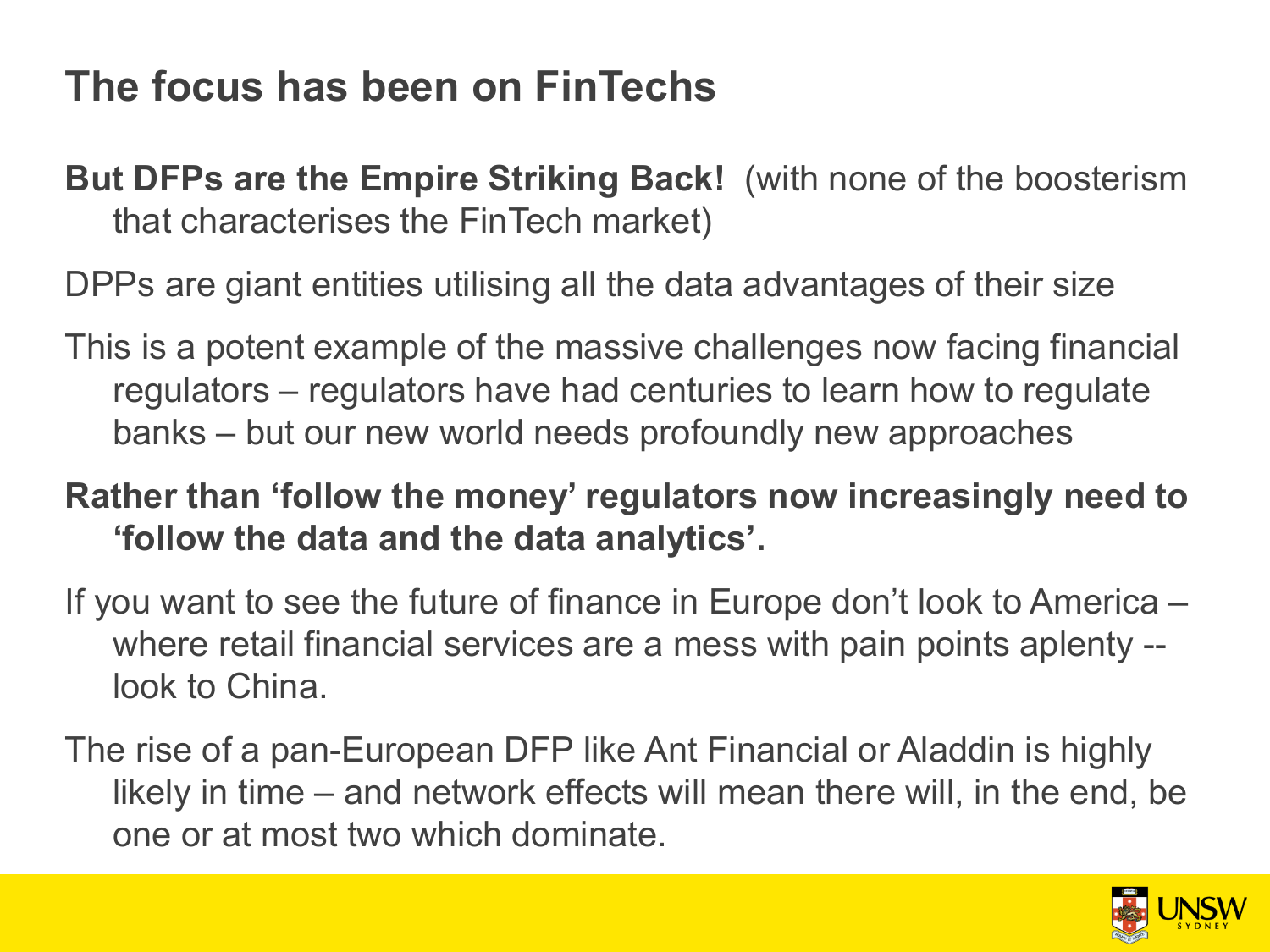# **The focus has been on FinTechs**

**But DFPs are the Empire Striking Back!** (with none of the boosterism that characterises the FinTech market)

DPPs are giant entities utilising all the data advantages of their size

This is a potent example of the massive challenges now facing financial regulators – regulators have had centuries to learn how to regulate banks – but our new world needs profoundly new approaches

#### **Rather than 'follow the money' regulators now increasingly need to 'follow the data and the data analytics'.**

- If you want to see the future of finance in Europe don't look to America where retail financial services are a mess with pain points aplenty - look to China.
- The rise of a pan-European DFP like Ant Financial or Aladdin is highly likely in time – and network effects will mean there will, in the end, be one or at most two which dominate.

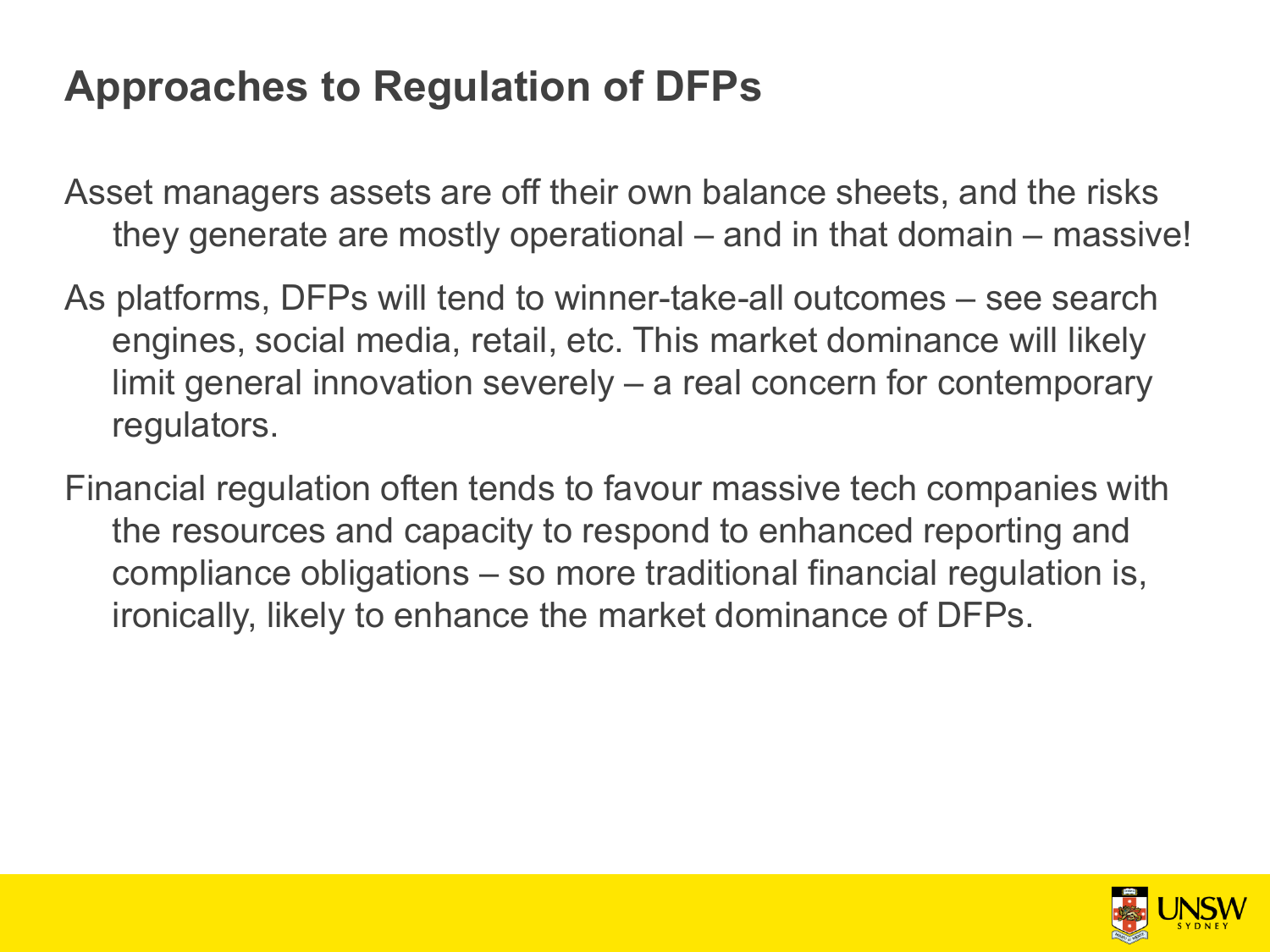# **Approaches to Regulation of DFPs**

Asset managers assets are off their own balance sheets, and the risks they generate are mostly operational – and in that domain – massive!

- As platforms, DFPs will tend to winner-take-all outcomes see search engines, social media, retail, etc. This market dominance will likely limit general innovation severely – a real concern for contemporary regulators.
- Financial regulation often tends to favour massive tech companies with the resources and capacity to respond to enhanced reporting and compliance obligations – so more traditional financial regulation is, ironically, likely to enhance the market dominance of DFPs.

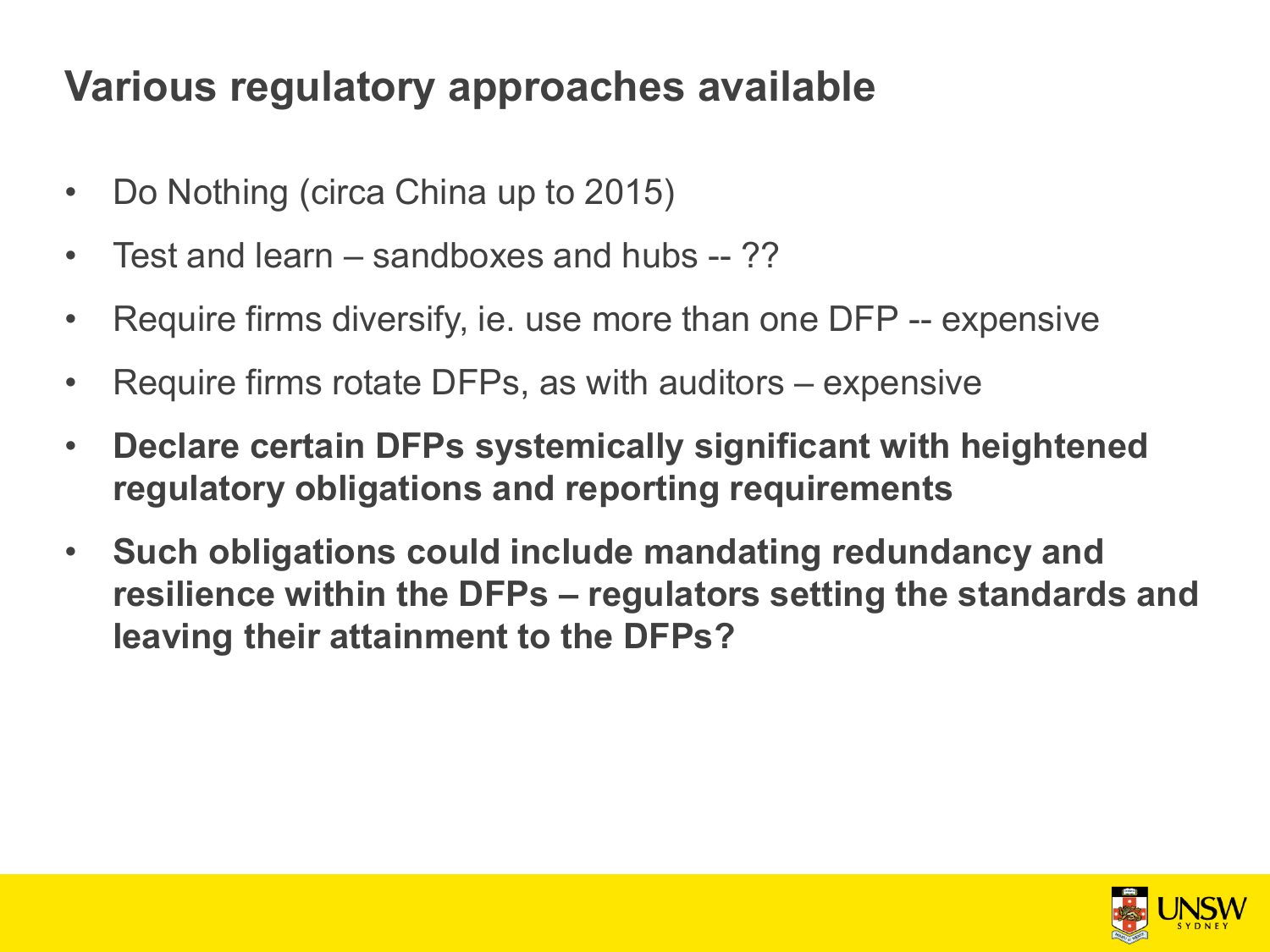# **Various regulatory approaches available**

- Do Nothing (circa China up to 2015)
- Test and learn sandboxes and hubs -- ??
- Require firms diversify, ie. use more than one DFP -- expensive
- Require firms rotate DFPs, as with auditors expensive
- **Declare certain DFPs systemically significant with heightened regulatory obligations and reporting requirements**
- **Such obligations could include mandating redundancy and resilience within the DFPs – regulators setting the standards and leaving their attainment to the DFPs?**